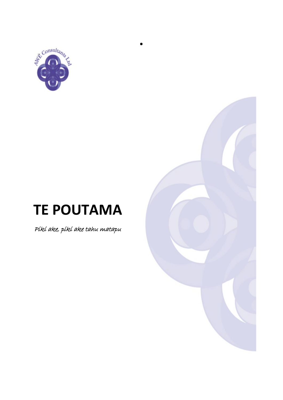

**.**

# **TE POUTAMA**

Piki ake, piki ake tahu matapu

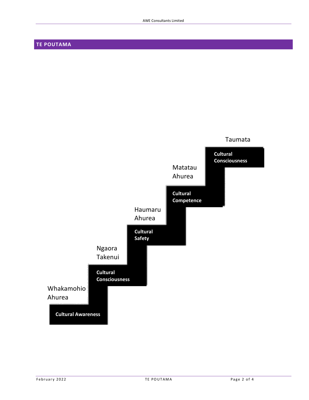## **TE POUTAMA**

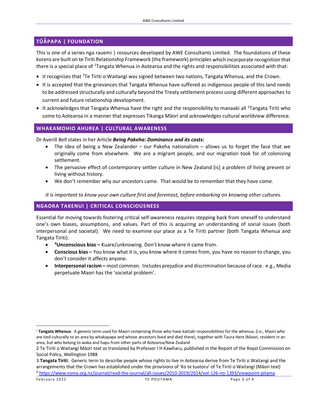## **TŪǠPAPA | FOUNDATION**

This is one of a series nga rauemi | resources developed by AWE Consultants Limited. The foundations of these korero are built on te Tiriti Relationship Framework (the framework) principles which incorporate recognition that there is a special place of <sup>[1](#page-2-0)</sup>Tangata Whenua in Aotearoa and the rights and responsibilities associated with that:

- It recognises that <sup>[2](#page-2-1)</sup>Te Tiriti o Waitangi was signed between two nations, Tangata Whenua, and the Crown.
- It is accepted that the grievances that Tangata Whenua have suffered as indigenous people of this land needs to be addressed structurally and culturally beyond the Treaty settlement process using different approaches to current and future relationship development.
- It acknowledges that Tangata Whenua have the right and the responsibility to manaaki all <sup>[3](#page-2-2)</sup>Tangata Tiriti who come to Aotearoa in a manner that expresses Tikanga Māori and acknowledges cultural worldview difference.

## **WHAKAMOHIO AHUREA | CULTURAL AWARENESS**

Dr Averill Bell states in her Article *Being Pakeha: Dominance and its costs:*

- The idea of being a New Zealander our Pakeha nationalism allows us to forget the face that we originally come from elsewhere. We are a migrant people, and our migration took for of colonizing settlement.
- The pervasive effect of contemporary settler culture in New Zealand [is] a problem of living present or living without history.
- We don't remember why our ancestors came. That would be to remember that they have come.

*It is important to know your own culture first and foremost, before embarking on knowing other cultures.*

## **NGAORA TAKENUI | CRITICAL CONSCIOUSNESS**

Essential for moving towards fostering critical self-awareness requires stepping back from oneself to understand one's own biases, assumptions, and values. Part of this is acquiring an understanding of social issues (both interpersonal and societal). We need to examine our place as a Te Tiriti partner (both Tangata Whenua and Tangata Tiriti).

- **[4](#page-2-3) Unconscious bias –** Kuare/unknowing. Don't know where it came from.
- **Conscious bias –** You know what it is, you know where it comes from, you have no reason to change, you don't consider it affects anyone.
- **Interpersonal racism –** most common. Includes prejudice and discrimination because of race. e.g., Media perpetuate Maori has the 'societal problem'.

<span id="page-2-0"></span><sup>1</sup> **Tangata Whenua**: A generic term used for Maori comprising those who have kaitiaki responsibilities for the whenua, (i.e., Maori who are tied culturally to an area by whakapapa and whose ancestors lived and died there), together with Taura Here (Maori, resident in an area, but who belong to waka and hapu from other parts of Aotearoa/New Zealand

<span id="page-2-1"></span><sup>2</sup> Te Tiriti o Waitangi Māori text as translated by Professor I H Kawharu, published in the Report of the Royal Commission on Social Policy, Wellington 1988

<span id="page-2-3"></span><span id="page-2-2"></span><sup>3</sup> **Tangata Tiriti**: Generic term to describe people whose rights to live in Aotearoa derive from Te Tiriti o Waitangi and the arrangements that the Crown has established under the provisions of 'Ko te tuatoru' of Te Tiriti o Waitangi (Māori text) <sup>4</sup> <https://www.nzma.org.nz/journal/read-the-journal/all-issues/2010-2019/2014/vol-126-no-1393/viewpoint-pitama>